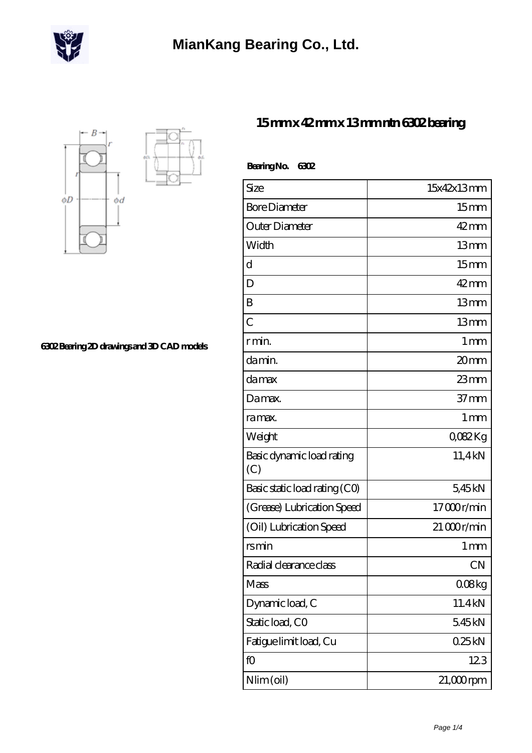



**[6302 Bearing 2D drawings and 3D CAD models](https://m.deadly30.com/pic-65222543.html)**

## **[15 mm x 42 mm x 13 mm ntn 6302 bearing](https://m.deadly30.com/ntn-6302-bearing/)**

| BearingNo.<br>6302               |                  |
|----------------------------------|------------------|
| Size                             | 15x42x13mm       |
| <b>Bore Diameter</b>             | 15 <sub>mm</sub> |
| Outer Diameter                   | $42$ mm          |
| Width                            | 13mm             |
| d                                | 15 <sub>mm</sub> |
| D                                | $42$ mm          |
| B                                | 13mm             |
| $\overline{C}$                   | 13mm             |
| rmin                             | 1 <sub>mm</sub>  |
| da min.                          | 20mm             |
| damax                            | $23$ mm          |
| Damax.                           | $37 \text{mm}$   |
| ra max.                          | 1 <sub>mm</sub>  |
| Weight                           | QO82Kg           |
| Basic dynamic load rating<br>(C) | 11,4kN           |
| Basic static load rating (CO)    | 5,45kN           |
| (Grease) Lubrication Speed       | 17000r/min       |
| (Oil) Lubrication Speed          | $21000$ r/min    |
| rsmin                            | 1 <sub>mm</sub>  |
| Radial clearance class           | <b>CN</b>        |
| Mass                             | 0.08kg           |
| Dynamic load, C                  | 11.4kN           |
| Static load, CO                  | 545kN            |
| Fatigue limit load, Cu           | 025kN            |
| fO                               | 123              |
| Nlim (oil)                       | $21,000$ rpm     |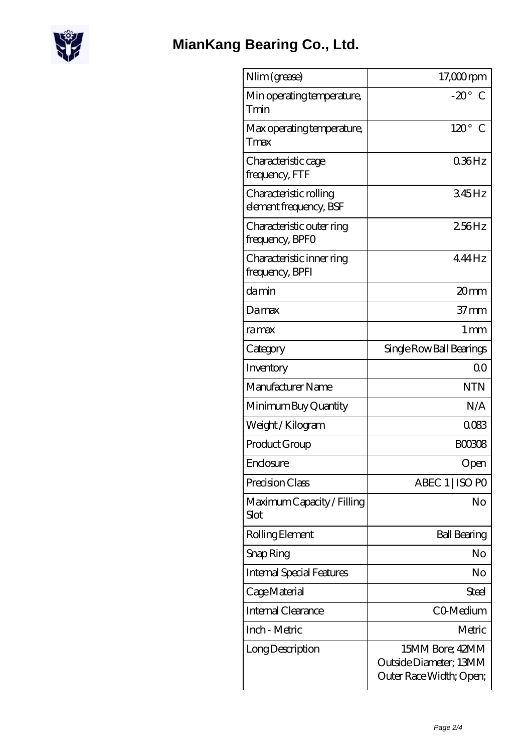

| Nlim (grease)                                    | $17,000$ rpm                                                         |
|--------------------------------------------------|----------------------------------------------------------------------|
| Min operating temperature,<br>Tmin               | $-20^\circ$ C                                                        |
| Max operating temperature,<br>Tmax               | $120^\circ$ C                                                        |
| Characteristic cage<br>frequency, FTF            | 036Hz                                                                |
| Characteristic rolling<br>element frequency, BSF | 345Hz                                                                |
| Characteristic outer ring<br>frequency, BPFO     | 256Hz                                                                |
| Characteristic inner ring<br>frequency, BPFI     | 444Hz                                                                |
| damin                                            | 20mm                                                                 |
| Damax                                            | $37 \text{mm}$                                                       |
| ramax                                            | $1 \,\mathrm{mm}$                                                    |
| Category                                         | Single Row Ball Bearings                                             |
| Inventory                                        | 0 <sub>0</sub>                                                       |
| Manufacturer Name                                | <b>NTN</b>                                                           |
| Minimum Buy Quantity                             | N/A                                                                  |
| Weight/Kilogram                                  | 0083                                                                 |
| Product Group                                    | <b>BOO308</b>                                                        |
| Enclosure                                        | Open                                                                 |
| Precision Class                                  | ABEC 1   ISO PO                                                      |
| Maximum Capacity / Filling<br>Slot               | No                                                                   |
| Rolling Element                                  | <b>Ball Bearing</b>                                                  |
| Snap Ring                                        | No                                                                   |
| <b>Internal Special Features</b>                 | No                                                                   |
| Cage Material                                    | <b>Steel</b>                                                         |
| <b>Internal Clearance</b>                        | CO-Medium                                                            |
| Inch - Metric                                    | Metric                                                               |
| Long Description                                 | 15MM Bore; 42MM<br>Outside Diameter; 13MM<br>Outer Race Width; Open; |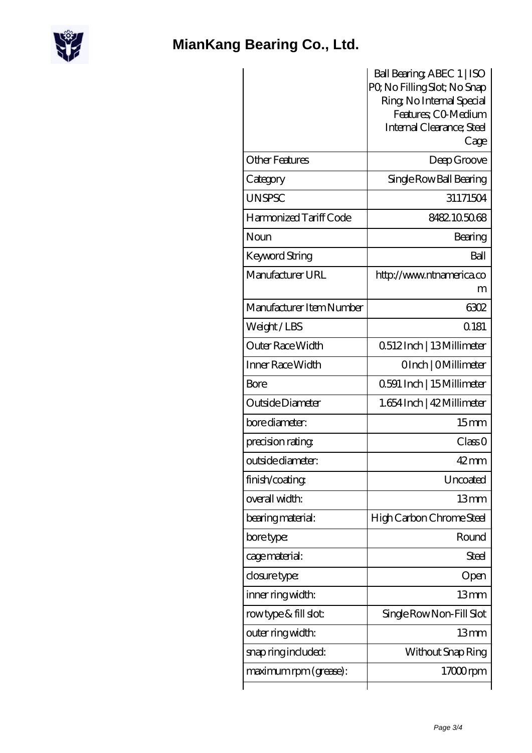

## **[MianKang Bearing Co., Ltd.](https://m.deadly30.com)**

|                          | Ball Bearing, ABEC 1   ISO                       |
|--------------------------|--------------------------------------------------|
|                          | PQ No Filling Slot; No Snap                      |
|                          | Ring, No Internal Special<br>Features; CO Medium |
|                          | Internal Clearance; Steel                        |
|                          | Cage                                             |
| <b>Other Features</b>    | Deep Groove                                      |
| Category                 | Single Row Ball Bearing                          |
| <b>UNSPSC</b>            | 31171504                                         |
| Harmonized Tariff Code   | 8482105068                                       |
| Noun                     | Bearing                                          |
| Keyword String           | Ball                                             |
| Manufacturer URL         | http://www.ntnamerica.co                         |
|                          | m                                                |
| Manufacturer Item Number | 6302                                             |
| Weight/LBS               | Q181                                             |
| Outer Race Width         | 0512Inch   13Millimeter                          |
| Inner Race Width         | OInch   OMillimeter                              |
| Bore                     | 0591 Inch   15 Millimeter                        |
| Outside Diameter         | 1.654 Inch   42 Millimeter                       |
| bore diameter:           | 15 <sub>mm</sub>                                 |
| precision rating         | Class 0                                          |
| outside diameter:        | $42 \text{mm}$                                   |
| finish/coating           | Uncoated                                         |
| overall width:           | 13 <sub>mm</sub>                                 |
| bearing material:        | High Carbon Chrome Steel                         |
| bore type:               | Round                                            |
| cage material:           | <b>Steel</b>                                     |
| closure type:            | Open                                             |
| inner ring width:        | 13mm                                             |
| rowtype & fill slot:     | Single Row Non-Fill Slot                         |
| outer ring width:        | 13mm                                             |
| snap ring included:      | Without Snap Ring                                |
| maximum rpm (grease):    | $17000$ rpm                                      |
|                          |                                                  |